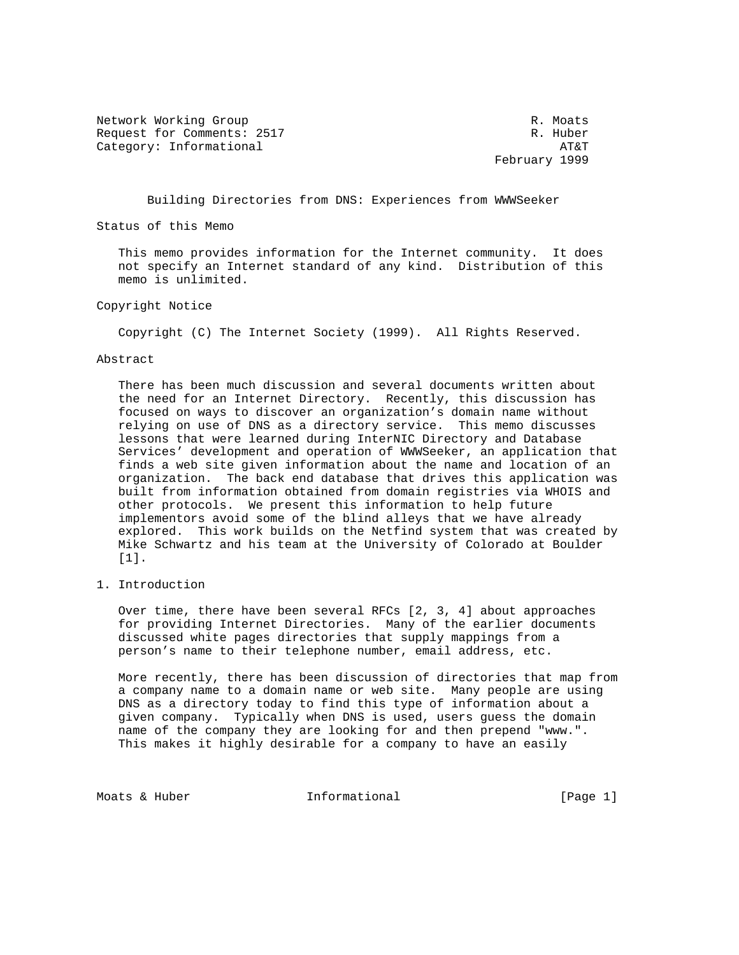Network Working Group **R. Moats** R. Moats Request for Comments: 2517 R. Huber Category: Informational  $AT\&T$ 

February 1999

Building Directories from DNS: Experiences from WWWSeeker

Status of this Memo

 This memo provides information for the Internet community. It does not specify an Internet standard of any kind. Distribution of this memo is unlimited.

Copyright Notice

Copyright (C) The Internet Society (1999). All Rights Reserved.

## Abstract

 There has been much discussion and several documents written about the need for an Internet Directory. Recently, this discussion has focused on ways to discover an organization's domain name without relying on use of DNS as a directory service. This memo discusses lessons that were learned during InterNIC Directory and Database Services' development and operation of WWWSeeker, an application that finds a web site given information about the name and location of an organization. The back end database that drives this application was built from information obtained from domain registries via WHOIS and other protocols. We present this information to help future implementors avoid some of the blind alleys that we have already explored. This work builds on the Netfind system that was created by Mike Schwartz and his team at the University of Colorado at Boulder [1].

1. Introduction

 Over time, there have been several RFCs [2, 3, 4] about approaches for providing Internet Directories. Many of the earlier documents discussed white pages directories that supply mappings from a person's name to their telephone number, email address, etc.

 More recently, there has been discussion of directories that map from a company name to a domain name or web site. Many people are using DNS as a directory today to find this type of information about a given company. Typically when DNS is used, users guess the domain name of the company they are looking for and then prepend "www.". This makes it highly desirable for a company to have an easily

Moats & Huber **Informational Informational** [Page 1]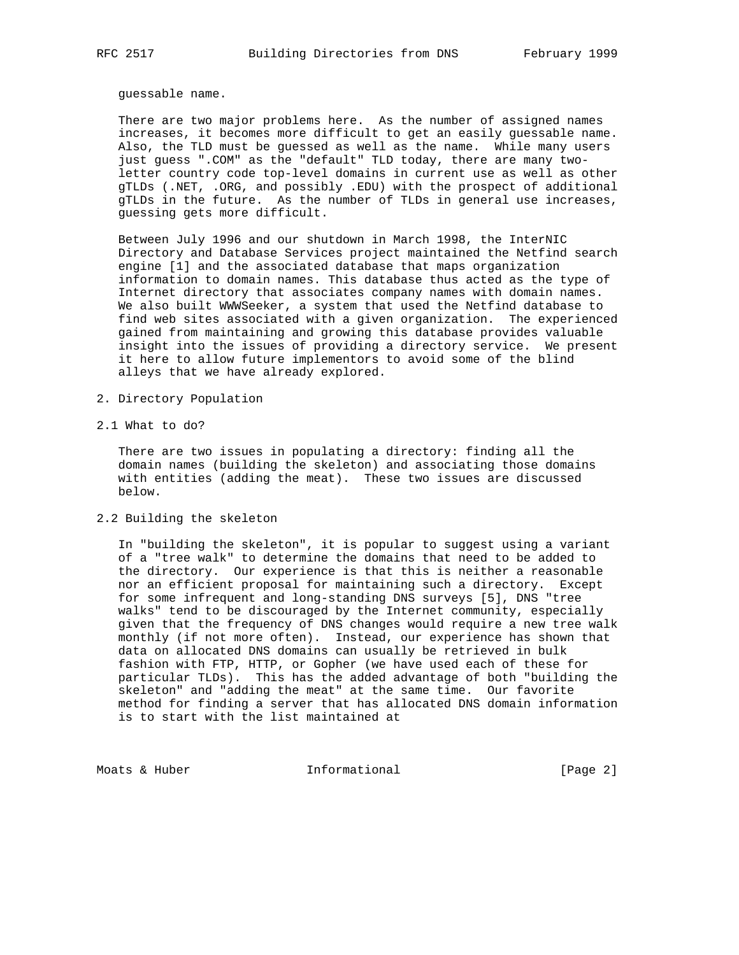guessable name.

 There are two major problems here. As the number of assigned names increases, it becomes more difficult to get an easily guessable name. Also, the TLD must be guessed as well as the name. While many users just guess ".COM" as the "default" TLD today, there are many two letter country code top-level domains in current use as well as other gTLDs (.NET, .ORG, and possibly .EDU) with the prospect of additional gTLDs in the future. As the number of TLDs in general use increases, guessing gets more difficult.

 Between July 1996 and our shutdown in March 1998, the InterNIC Directory and Database Services project maintained the Netfind search engine [1] and the associated database that maps organization information to domain names. This database thus acted as the type of Internet directory that associates company names with domain names. We also built WWWSeeker, a system that used the Netfind database to find web sites associated with a given organization. The experienced gained from maintaining and growing this database provides valuable insight into the issues of providing a directory service. We present it here to allow future implementors to avoid some of the blind alleys that we have already explored.

- 2. Directory Population
- 2.1 What to do?

 There are two issues in populating a directory: finding all the domain names (building the skeleton) and associating those domains with entities (adding the meat). These two issues are discussed below.

2.2 Building the skeleton

 In "building the skeleton", it is popular to suggest using a variant of a "tree walk" to determine the domains that need to be added to the directory. Our experience is that this is neither a reasonable nor an efficient proposal for maintaining such a directory. Except for some infrequent and long-standing DNS surveys [5], DNS "tree walks" tend to be discouraged by the Internet community, especially given that the frequency of DNS changes would require a new tree walk monthly (if not more often). Instead, our experience has shown that data on allocated DNS domains can usually be retrieved in bulk fashion with FTP, HTTP, or Gopher (we have used each of these for particular TLDs). This has the added advantage of both "building the skeleton" and "adding the meat" at the same time. Our favorite method for finding a server that has allocated DNS domain information is to start with the list maintained at

Moats & Huber **Informational** 100 (Page 2)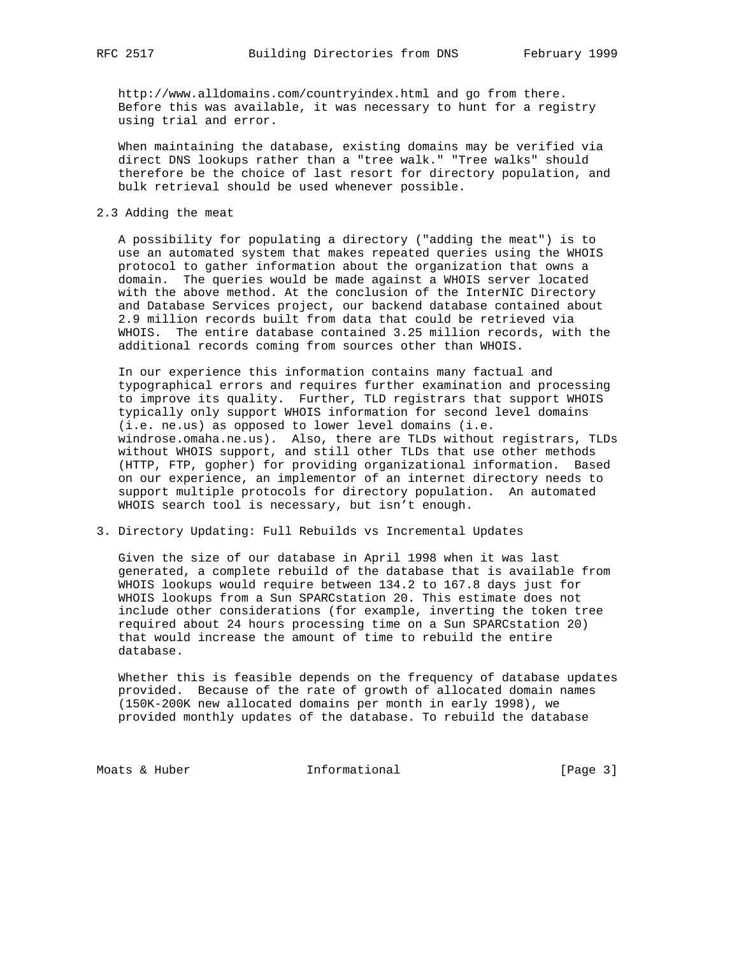http://www.alldomains.com/countryindex.html and go from there. Before this was available, it was necessary to hunt for a registry using trial and error.

 When maintaining the database, existing domains may be verified via direct DNS lookups rather than a "tree walk." "Tree walks" should therefore be the choice of last resort for directory population, and bulk retrieval should be used whenever possible.

## 2.3 Adding the meat

 A possibility for populating a directory ("adding the meat") is to use an automated system that makes repeated queries using the WHOIS protocol to gather information about the organization that owns a domain. The queries would be made against a WHOIS server located with the above method. At the conclusion of the InterNIC Directory and Database Services project, our backend database contained about 2.9 million records built from data that could be retrieved via WHOIS. The entire database contained 3.25 million records, with the additional records coming from sources other than WHOIS.

 In our experience this information contains many factual and typographical errors and requires further examination and processing to improve its quality. Further, TLD registrars that support WHOIS typically only support WHOIS information for second level domains (i.e. ne.us) as opposed to lower level domains (i.e. windrose.omaha.ne.us). Also, there are TLDs without registrars, TLDs without WHOIS support, and still other TLDs that use other methods (HTTP, FTP, gopher) for providing organizational information. Based on our experience, an implementor of an internet directory needs to support multiple protocols for directory population. An automated WHOIS search tool is necessary, but isn't enough.

3. Directory Updating: Full Rebuilds vs Incremental Updates

 Given the size of our database in April 1998 when it was last generated, a complete rebuild of the database that is available from WHOIS lookups would require between 134.2 to 167.8 days just for WHOIS lookups from a Sun SPARCstation 20. This estimate does not include other considerations (for example, inverting the token tree required about 24 hours processing time on a Sun SPARCstation 20) that would increase the amount of time to rebuild the entire database.

 Whether this is feasible depends on the frequency of database updates provided. Because of the rate of growth of allocated domain names (150K-200K new allocated domains per month in early 1998), we provided monthly updates of the database. To rebuild the database

Moats & Huber **Informational** [Page 3]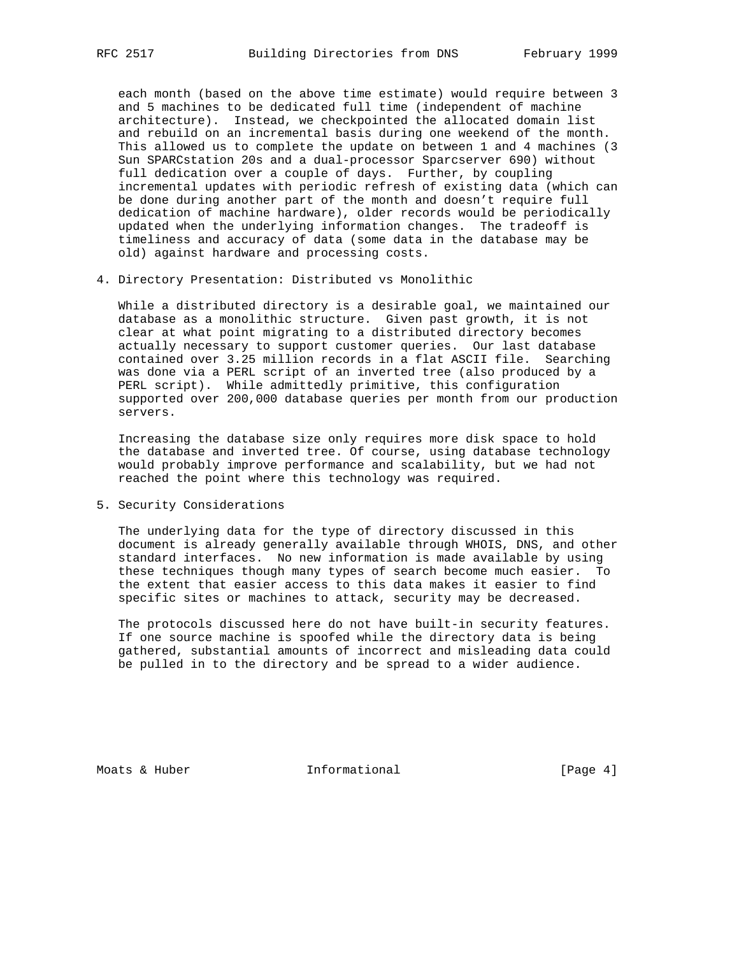each month (based on the above time estimate) would require between 3 and 5 machines to be dedicated full time (independent of machine architecture). Instead, we checkpointed the allocated domain list and rebuild on an incremental basis during one weekend of the month. This allowed us to complete the update on between 1 and 4 machines (3 Sun SPARCstation 20s and a dual-processor Sparcserver 690) without full dedication over a couple of days. Further, by coupling incremental updates with periodic refresh of existing data (which can be done during another part of the month and doesn't require full dedication of machine hardware), older records would be periodically updated when the underlying information changes. The tradeoff is timeliness and accuracy of data (some data in the database may be old) against hardware and processing costs.

4. Directory Presentation: Distributed vs Monolithic

 While a distributed directory is a desirable goal, we maintained our database as a monolithic structure. Given past growth, it is not clear at what point migrating to a distributed directory becomes actually necessary to support customer queries. Our last database contained over 3.25 million records in a flat ASCII file. Searching was done via a PERL script of an inverted tree (also produced by a PERL script). While admittedly primitive, this configuration supported over 200,000 database queries per month from our production servers.

 Increasing the database size only requires more disk space to hold the database and inverted tree. Of course, using database technology would probably improve performance and scalability, but we had not reached the point where this technology was required.

5. Security Considerations

 The underlying data for the type of directory discussed in this document is already generally available through WHOIS, DNS, and other standard interfaces. No new information is made available by using these techniques though many types of search become much easier. To the extent that easier access to this data makes it easier to find specific sites or machines to attack, security may be decreased.

 The protocols discussed here do not have built-in security features. If one source machine is spoofed while the directory data is being gathered, substantial amounts of incorrect and misleading data could be pulled in to the directory and be spread to a wider audience.

Moats & Huber **Informational Informational** [Page 4]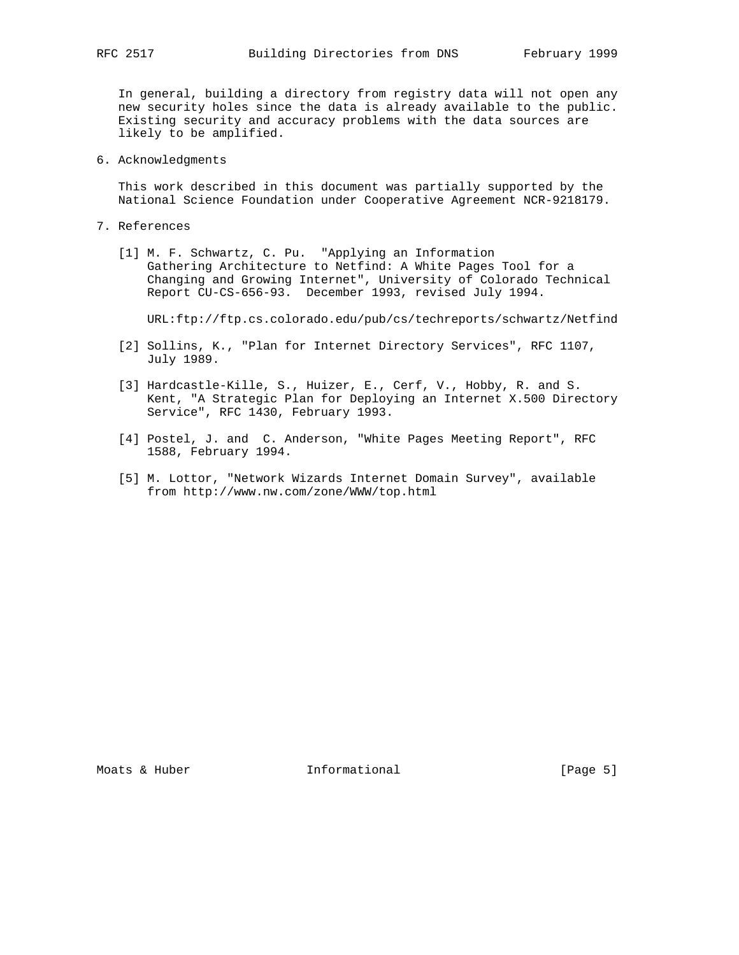In general, building a directory from registry data will not open any new security holes since the data is already available to the public. Existing security and accuracy problems with the data sources are likely to be amplified.

6. Acknowledgments

 This work described in this document was partially supported by the National Science Foundation under Cooperative Agreement NCR-9218179.

- 7. References
- [1] M. F. Schwartz, C. Pu. "Applying an Information Gathering Architecture to Netfind: A White Pages Tool for a Changing and Growing Internet", University of Colorado Technical Report CU-CS-656-93. December 1993, revised July 1994.

URL:ftp://ftp.cs.colorado.edu/pub/cs/techreports/schwartz/Netfind

- [2] Sollins, K., "Plan for Internet Directory Services", RFC 1107, July 1989.
- [3] Hardcastle-Kille, S., Huizer, E., Cerf, V., Hobby, R. and S. Kent, "A Strategic Plan for Deploying an Internet X.500 Directory Service", RFC 1430, February 1993.
- [4] Postel, J. and C. Anderson, "White Pages Meeting Report", RFC 1588, February 1994.
- [5] M. Lottor, "Network Wizards Internet Domain Survey", available from http://www.nw.com/zone/WWW/top.html

Moats & Huber **Informational Informational** [Page 5]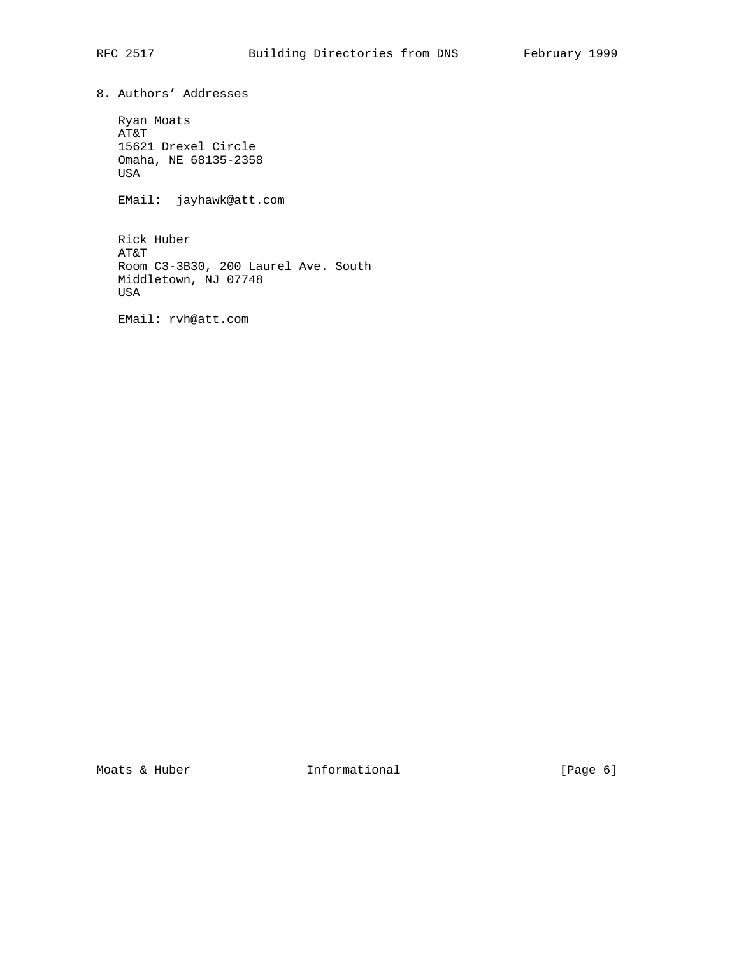8. Authors' Addresses

 Ryan Moats AT&T 15621 Drexel Circle Omaha, NE 68135-2358 USA

EMail: jayhawk@att.com

 Rick Huber AT&T Room C3-3B30, 200 Laurel Ave. South Middletown, NJ 07748 USA

EMail: rvh@att.com